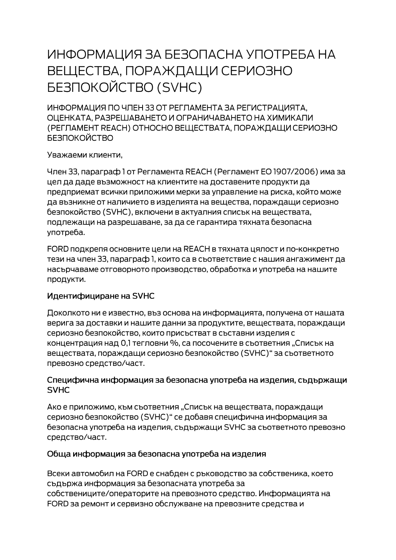# ИНФОРМАЦИЯ ЗА БЕЗОПАСНА УПОТРЕБА НА ВЕЩЕСТВА, ПОРАЖДАЩИ СЕРИОЗНО **БЕЗПОКОЙСТВО (SVHC)**

ИНФОРМАЦИЯ ПО ЧЛЕН 33 ОТ РЕГЛАМЕНТА ЗА РЕГИСТРАЦИЯТА. ОЦЕНКАТА, РАЗРЕШАВАНЕТО И ОГРАНИЧАВАНЕТО НА ХИМИКАЛИ (РЕГЛАМЕНТ REACH) ОТНОСНО ВЕЩЕСТВАТА, ПОРАЖДАЩИ СЕРИОЗНО **БЕЗПОКОЙСТВО** 

Уважаеми клиенти,

Член 33, параграф 1 от Регламента REACH (Регламент ЕО 1907/2006) има за цел да даде възможност на клиентите на доставените продукти да предприемат всички приложими мерки за управление на риска, който може да възникне от наличието в изделията на вещества, пораждащи сериозно безпокойство (SVHC), включени в актуалния списък на веществата, подлежащи на разрешаване, за да се гарантира тяхната безопасна употреба.

FORD подкрепя основните цели на REACH в тяхната цялост и по-конкретно тези на член 33, параграф 1, които са в съответствие с нашия ангажимент да насърчаваме отговорното производство, обработка и употреба на нашите продукти.

#### Идентифициране на SVHC

Доколкото ни е известно, въз основа на информацията, получена от нашата верига за доставки и нашите данни за продуктите, веществата, пораждащи сериозно безпокойство, които присъстват в съставни изделия с концентрация над 0,1 тегловни %, са посочените в съответния "Списък на веществата, пораждащи сериозно безпокойство (SVHC)" за съответното превозно средство/част.

#### Специфична информация за безопасна употреба на изделия, съдържащи **SVHC**

Ако е приложимо, към съответния "Списък на веществата, пораждащи сериозно безпокойство (SVHC)" се добавя специфична информация за безопасна употреба на изделия, съдържащи SVHC за съответното превозно средство/част.

#### Обща информация за безопасна употреба на изделия

Всеки автомобил на FORD е снабден с ръководство за собственика, което съдържа информация за безопасната употреба за собствениците/операторите на превозното средство. Информацията на FORD за ремонт и сервизно обслужване на превозните средства и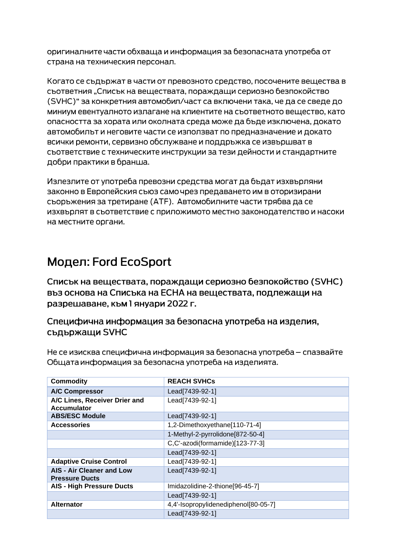оригиналните части обхваща и информация за безопасната употреба от страна на техническия персонал.

Когато се съдържат в части от превозното средство, посочените вещества в сьответния "Списък на вешествата, пораждащи сериозно безпокойство (SVHC)" за конкретния автомобил/част са включени така, че да се сведе до миниум евентуалното излагане на клиентите на съответното вещество, като опасността за хората или околната среда може да бъде изключена, докато автомобилът и неговите части се използват по предназначение и докато всички ремонти, сервизно обслужване и поддръжка се извършват в съответствие с техническите инструкции за тези дейности и стандартните добри практики в бранша.

Излезлите от употреба превозни средства могат да бъдат изхвърляни законно в Европейския съюз само чрез предаването им в оторизирани сьоръжения за третиране (АТЕ). Автомобилните части трябва да се изхвърлят в съответствие с приложимото местно законодателство и насоки на местните органи.

## Модел: Ford EcoSport

Списък на веществата, пораждащи сериозно безпокойство (SVHC) въз основа на Списъка на ЕСНА на веществата, подлежащи на разрешаване, към 1 януари 2022 г.

### Специфична информация за безопасна употреба на изделия, съдържащи SVHC

Не се изисква специфична информация за безопасна употреба – спазвайте Общата информация за безопасна употреба на изделията.

| <b>Commodity</b>                                          | <b>REACH SVHCs</b>                   |
|-----------------------------------------------------------|--------------------------------------|
| <b>A/C Compressor</b>                                     | Lead[7439-92-1]                      |
| A/C Lines, Receiver Drier and<br><b>Accumulator</b>       | Lead[7439-92-1]                      |
| <b>ABS/ESC Module</b>                                     | Lead[7439-92-1]                      |
| <b>Accessories</b>                                        | 1,2-Dimethoxyethane[110-71-4]        |
|                                                           | 1-Methyl-2-pyrrolidone[872-50-4]     |
|                                                           | C,C'-azodi(formamide)[123-77-3]      |
|                                                           | Lead[7439-92-1]                      |
| <b>Adaptive Cruise Control</b>                            | Lead[7439-92-1]                      |
| <b>AIS - Air Cleaner and Low</b><br><b>Pressure Ducts</b> | Lead[7439-92-1]                      |
| <b>AIS - High Pressure Ducts</b>                          | Imidazolidine-2-thione[96-45-7]      |
|                                                           | Lead[7439-92-1]                      |
| <b>Alternator</b>                                         | 4,4'-Isopropylidenediphenol[80-05-7] |
|                                                           | Lead[7439-92-1]                      |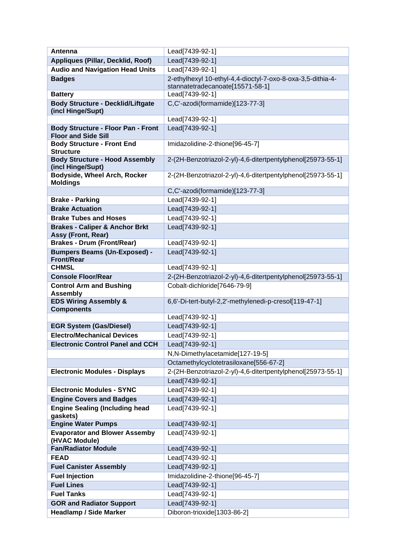| Antenna                                                          | Lead[7439-92-1]                                             |
|------------------------------------------------------------------|-------------------------------------------------------------|
| <b>Appliques (Pillar, Decklid, Roof)</b>                         | Lead[7439-92-1]                                             |
| <b>Audio and Navigation Head Units</b>                           | Lead[7439-92-1]                                             |
| <b>Badges</b>                                                    | 2-ethylhexyl 10-ethyl-4,4-dioctyl-7-oxo-8-oxa-3,5-dithia-4- |
|                                                                  | stannatetradecanoate[15571-58-1]                            |
| <b>Battery</b>                                                   | Lead[7439-92-1]                                             |
| <b>Body Structure - Decklid/Liftgate</b>                         | C,C'-azodi(formamide)[123-77-3]                             |
| (incl Hinge/Supt)                                                |                                                             |
|                                                                  | Lead[7439-92-1]                                             |
| <b>Body Structure - Floor Pan - Front</b>                        | Lead[7439-92-1]                                             |
| <b>Floor and Side Sill</b>                                       |                                                             |
| <b>Body Structure - Front End</b><br><b>Structure</b>            | Imidazolidine-2-thione[96-45-7]                             |
| <b>Body Structure - Hood Assembly</b>                            | 2-(2H-Benzotriazol-2-yl)-4,6-ditertpentylphenol[25973-55-1] |
| (incl Hinge/Supt)                                                |                                                             |
| Bodyside, Wheel Arch, Rocker                                     | 2-(2H-Benzotriazol-2-yl)-4,6-ditertpentylphenol[25973-55-1] |
| <b>Moldings</b>                                                  |                                                             |
|                                                                  | C,C'-azodi(formamide)[123-77-3]                             |
| <b>Brake - Parking</b>                                           | Lead[7439-92-1]                                             |
| <b>Brake Actuation</b>                                           | Lead[7439-92-1]                                             |
| <b>Brake Tubes and Hoses</b>                                     | Lead[7439-92-1]                                             |
| <b>Brakes - Caliper &amp; Anchor Brkt</b>                        | Lead[7439-92-1]                                             |
| Assy (Front, Rear)                                               |                                                             |
| <b>Brakes - Drum (Front/Rear)</b>                                | Lead[7439-92-1]                                             |
| <b>Bumpers Beams (Un-Exposed) -</b><br><b>Front/Rear</b>         | Lead[7439-92-1]                                             |
| <b>CHMSL</b>                                                     | Lead[7439-92-1]                                             |
| <b>Console Floor/Rear</b>                                        | 2-(2H-Benzotriazol-2-yl)-4,6-ditertpentylphenol[25973-55-1] |
| <b>Control Arm and Bushing</b><br><b>Assembly</b>                | Cobalt-dichloride[7646-79-9]                                |
| <b>EDS Wiring Assembly &amp;</b>                                 | 6,6'-Di-tert-butyl-2,2'-methylenedi-p-cresol[119-47-1]      |
| <b>Components</b>                                                |                                                             |
|                                                                  | Lead[7439-92-1]                                             |
| <b>EGR System (Gas/Diesel)</b>                                   | Lead[7439-92-1]                                             |
| <b>Electro/Mechanical Devices</b>                                | Lead[7439-92-1]                                             |
| <b>Electronic Control Panel and CCH</b>                          | Lead[7439-92-1]                                             |
|                                                                  | N,N-Dimethylacetamide[127-19-5]                             |
|                                                                  | Octamethylcyclotetrasiloxane[556-67-2]                      |
| <b>Electronic Modules - Displays</b>                             | 2-(2H-Benzotriazol-2-yl)-4,6-ditertpentylphenol[25973-55-1] |
|                                                                  | Lead[7439-92-1]                                             |
| <b>Electronic Modules - SYNC</b>                                 | Lead[7439-92-1]                                             |
| <b>Engine Covers and Badges</b>                                  | Lead[7439-92-1]                                             |
| <b>Engine Sealing (Including head</b><br>gaskets)                | Lead[7439-92-1]                                             |
| <b>Engine Water Pumps</b>                                        | Lead[7439-92-1]                                             |
| <b>Evaporator and Blower Assemby</b>                             | Lead[7439-92-1]                                             |
| (HVAC Module)                                                    |                                                             |
| <b>Fan/Radiator Module</b>                                       | Lead[7439-92-1]                                             |
| <b>FEAD</b>                                                      | Lead[7439-92-1]                                             |
| <b>Fuel Canister Assembly</b>                                    | Lead[7439-92-1]                                             |
| <b>Fuel Injection</b>                                            | Imidazolidine-2-thione[96-45-7]                             |
| <b>Fuel Lines</b>                                                | Lead[7439-92-1]                                             |
| <b>Fuel Tanks</b>                                                | Lead[7439-92-1]                                             |
|                                                                  |                                                             |
| <b>GOR and Radiator Support</b><br><b>Headlamp / Side Marker</b> | Lead[7439-92-1]<br>Diboron-trioxide[1303-86-2]              |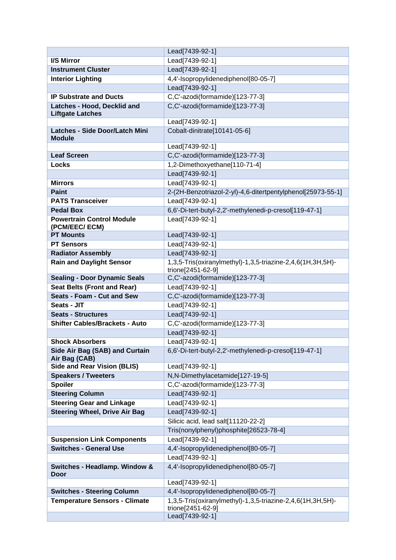|                                                        | Lead[7439-92-1]                                                                 |
|--------------------------------------------------------|---------------------------------------------------------------------------------|
| I/S Mirror                                             | Lead[7439-92-1]                                                                 |
| <b>Instrument Cluster</b>                              | Lead[7439-92-1]                                                                 |
| <b>Interior Lighting</b>                               | 4,4'-Isopropylidenediphenol[80-05-7]                                            |
|                                                        | Lead[7439-92-1]                                                                 |
| <b>IP Substrate and Ducts</b>                          | C,C'-azodi(formamide)[123-77-3]                                                 |
| Latches - Hood, Decklid and<br><b>Liftgate Latches</b> | C,C'-azodi(formamide)[123-77-3]                                                 |
|                                                        | Lead[7439-92-1]                                                                 |
| <b>Latches - Side Door/Latch Mini</b>                  | Cobalt-dinitrate[10141-05-6]                                                    |
| <b>Module</b>                                          |                                                                                 |
|                                                        | Lead[7439-92-1]                                                                 |
| <b>Leaf Screen</b>                                     | C,C'-azodi(formamide)[123-77-3]                                                 |
| <b>Locks</b>                                           | 1,2-Dimethoxyethane[110-71-4]                                                   |
|                                                        | Lead[7439-92-1]                                                                 |
| <b>Mirrors</b>                                         | Lead[7439-92-1]                                                                 |
| <b>Paint</b>                                           | 2-(2H-Benzotriazol-2-yl)-4,6-ditertpentylphenol[25973-55-1]                     |
| <b>PATS Transceiver</b>                                | Lead[7439-92-1]                                                                 |
| <b>Pedal Box</b>                                       | 6,6'-Di-tert-butyl-2,2'-methylenedi-p-cresol[119-47-1]                          |
| <b>Powertrain Control Module</b><br>(PCM/EEC/ ECM)     | Lead[7439-92-1]                                                                 |
| <b>PT Mounts</b>                                       | Lead[7439-92-1]                                                                 |
| <b>PT Sensors</b>                                      | Lead[7439-92-1]                                                                 |
| <b>Radiator Assembly</b>                               | Lead[7439-92-1]                                                                 |
| <b>Rain and Daylight Sensor</b>                        | 1,3,5-Tris(oxiranylmethyl)-1,3,5-triazine-2,4,6(1H,3H,5H)-<br>trione[2451-62-9] |
| <b>Sealing - Door Dynamic Seals</b>                    | C,C'-azodi(formamide)[123-77-3]                                                 |
| <b>Seat Belts (Front and Rear)</b>                     | Lead[7439-92-1]                                                                 |
| <b>Seats - Foam - Cut and Sew</b>                      | C,C'-azodi(formamide)[123-77-3]                                                 |
| Seats - JIT                                            | Lead[7439-92-1]                                                                 |
| <b>Seats - Structures</b>                              | Lead[7439-92-1]                                                                 |
| <b>Shifter Cables/Brackets - Auto</b>                  | C,C'-azodi(formamide)[123-77-3]                                                 |
|                                                        | Lead[7439-92-1]                                                                 |
| <b>Shock Absorbers</b>                                 | Lead[7439-92-1]                                                                 |
| Side Air Bag (SAB) and Curtain<br>Air Bag (CAB)        | 6,6'-Di-tert-butyl-2,2'-methylenedi-p-cresol[119-47-1]                          |
| <b>Side and Rear Vision (BLIS)</b>                     | Lead[7439-92-1]                                                                 |
| <b>Speakers / Tweeters</b>                             | N,N-Dimethylacetamide[127-19-5]                                                 |
| <b>Spoiler</b>                                         | C,C'-azodi(formamide)[123-77-3]                                                 |
| <b>Steering Column</b>                                 | Lead[7439-92-1]                                                                 |
| <b>Steering Gear and Linkage</b>                       | Lead[7439-92-1]                                                                 |
| <b>Steering Wheel, Drive Air Bag</b>                   | Lead[7439-92-1]                                                                 |
|                                                        | Silicic acid, lead salt[11120-22-2]                                             |
|                                                        | Tris(nonylphenyl)phosphite[26523-78-4]                                          |
| <b>Suspension Link Components</b>                      | Lead[7439-92-1]                                                                 |
| <b>Switches - General Use</b>                          | 4,4'-Isopropylidenediphenol[80-05-7]<br>Lead[7439-92-1]                         |
|                                                        |                                                                                 |
| Switches - Headlamp. Window &<br>Door                  | 4,4'-Isopropylidenediphenol[80-05-7]                                            |
|                                                        | Lead[7439-92-1]                                                                 |
| <b>Switches - Steering Column</b>                      | 4,4'-Isopropylidenediphenol[80-05-7]                                            |
| <b>Temperature Sensors - Climate</b>                   | 1,3,5-Tris(oxiranylmethyl)-1,3,5-triazine-2,4,6(1H,3H,5H)-                      |
|                                                        | trione[2451-62-9]                                                               |
|                                                        | Lead[7439-92-1]                                                                 |